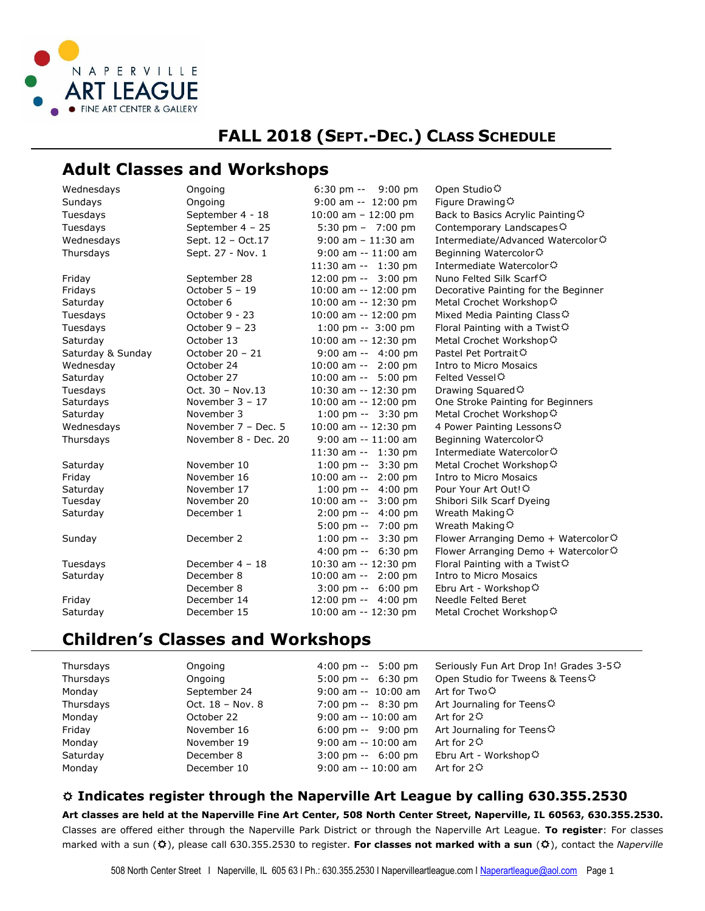

# **FALL 2018 (SEPT.-DEC.) CLASS SCHEDULE**

# **Adult Classes and Workshops**

| Wednesdays        | Ongoing              | $6:30$ pm -- $9:00$ pm               | Open Studio $\ddot{\varphi}$                        |
|-------------------|----------------------|--------------------------------------|-----------------------------------------------------|
| Sundays           | Ongoing              | $9:00$ am -- $12:00$ pm              | Figure Drawing $\ddot{\varphi}$                     |
| Tuesdays          | September 4 - 18     | $10:00$ am $- 12:00$ pm              | Back to Basics Acrylic Painting $\diamondsuit$      |
| Tuesdays          | September 4 - 25     | $5:30 \text{ pm} - 7:00 \text{ pm}$  | Contemporary Landscapes                             |
| Wednesdays        | Sept. 12 - Oct.17    | $9:00$ am $-11:30$ am                | Intermediate/Advanced Watercolor☆                   |
| Thursdays         | Sept. 27 - Nov. 1    | $9:00$ am -- $11:00$ am              | Beginning Watercolor $\ddot{\varphi}$               |
|                   |                      | $11:30$ am -- $1:30$ pm              | Intermediate Watercolor $\ddot{\varphi}$            |
| Friday            | September 28         | 12:00 pm -- 3:00 pm                  | Nuno Felted Silk Scarf⇔                             |
| Fridays           | October 5 - 19       | 10:00 am -- 12:00 pm                 | Decorative Painting for the Beginner                |
| Saturday          | October 6            | 10:00 am -- 12:30 pm                 | Metal Crochet Workshop $\ddot{\varphi}$             |
| Tuesdays          | October 9 - 23       | 10:00 am -- 12:00 pm                 | Mixed Media Painting Class $\ddot{\varphi}$         |
| Tuesdays          | October $9 - 23$     | $1:00$ pm $-3:00$ pm                 | Floral Painting with a Twist $\ddot{\varphi}$       |
| Saturday          | October 13           | 10:00 am -- 12:30 pm                 | Metal Crochet Workshop $\Im$                        |
| Saturday & Sunday | October $20 - 21$    | $9:00$ am -- $4:00$ pm               | Pastel Pet Portrait⇔                                |
| Wednesday         | October 24           | $10:00$ am -- 2:00 pm                | Intro to Micro Mosaics                              |
| Saturday          | October 27           | 10:00 am -- 5:00 pm                  | Felted Vessel $\ddot{\mathbf{\Omega}}$              |
| Tuesdays          | Oct. 30 - Nov.13     | 10:30 am -- 12:30 pm                 | Drawing Squared                                     |
| Saturdays         | November $3 - 17$    | 10:00 am -- 12:00 pm                 | One Stroke Painting for Beginners                   |
| Saturday          | November 3           | 1:00 pm -- 3:30 pm                   | Metal Crochet Workshop $\ddot{\varphi}$             |
| Wednesdays        | November 7 - Dec. 5  | 10:00 am -- 12:30 pm                 | 4 Power Painting Lessons $\circ$                    |
| Thursdays         | November 8 - Dec. 20 | $9:00$ am $-11:00$ am                | Beginning Watercolor $\ddot{\varphi}$               |
|                   |                      | $11:30$ am -- $1:30$ pm              | Intermediate Watercolor $\ddot{\varphi}$            |
| Saturday          | November 10          | 1:00 pm -- 3:30 pm                   | Metal Crochet Workshop $\ddot{\varphi}$             |
| Friday            | November 16          | 10:00 am -- 2:00 pm                  | Intro to Micro Mosaics                              |
| Saturday          | November 17          | $1:00 \text{ pm} -- 4:00 \text{ pm}$ | Pour Your Art Out!⇔                                 |
| Tuesday           | November 20          | $10:00$ am $-3:00$ pm                | Shibori Silk Scarf Dyeing                           |
| Saturday          | December 1           | 2:00 pm -- 4:00 pm                   | Wreath Making <del>♦</del>                          |
|                   |                      | $5:00 \text{ pm} -- 7:00 \text{ pm}$ | Wreath Making <del>♦</del>                          |
| Sunday            | December 2           | $1:00$ pm -- $3:30$ pm               | Flower Arranging Demo + Watercolor $\ddot{\varphi}$ |
|                   |                      | $4:00 \text{ pm} -- 6:30 \text{ pm}$ | Flower Arranging Demo + Watercolor $\ddot{\varphi}$ |
| Tuesdays          | December $4 - 18$    | 10:30 am -- 12:30 pm                 | Floral Painting with a Twist $\ddot{\varphi}$       |
| Saturday          | December 8           | 10:00 am -- 2:00 pm                  | Intro to Micro Mosaics                              |
|                   | December 8           | 3:00 pm -- 6:00 pm                   | Ebru Art - Workshop $\ddot{\varphi}$                |
| Friday            | December 14          | $12:00 \text{ pm} - 4:00 \text{ pm}$ | Needle Felted Beret                                 |
| Saturday          | December 15          | 10:00 am -- 12:30 pm                 | Metal Crochet Workshop $\ddot{\varphi}$             |

# **Children's Classes and Workshops**

| Thursdays | Ongoing          | $4:00 \text{ pm} -- 5:00 \text{ pm}$ | Seriously Fun Art Drop In! Grades 3-5☆          |
|-----------|------------------|--------------------------------------|-------------------------------------------------|
| Thursdays | Ongoing          | $5:00 \text{ pm} - 6:30 \text{ pm}$  | Open Studio for Tweens & Teens $\ddot{\varphi}$ |
| Monday    | September 24     | $9:00$ am -- $10:00$ am              | Art for Two⇔                                    |
| Thursdays | Oct. 18 - Nov. 8 | 7:00 pm -- 8:30 pm                   | Art Journaling for Teens $\ddot{Q}$             |
| Monday    | October 22       | $9:00$ am -- 10:00 am                | Art for $2\ddot{Q}$                             |
| Friday    | November 16      | $6:00 \text{ pm} - 9:00 \text{ pm}$  | Art Journaling for Teens⇔                       |
| Monday    | November 19      | $9:00$ am -- 10:00 am                | Art for $2\ddot{\mathcal{Q}}$                   |
| Saturday  | December 8       | $3:00 \text{ pm} - 6:00 \text{ pm}$  | Ebru Art - Workshop⇔                            |
| Monday    | December 10      | $9:00$ am $-10:00$ am                | Art for $2\ddot{\mathcal{Q}}$                   |

# **Indicates register through the Naperville Art League by calling 630.355.2530**

**Art classes are held at the Naperville Fine Art Center, 508 North Center Street, Naperville, IL 60563, 630.355.2530.** Classes are offered either through the Naperville Park District or through the Naperville Art League. **To register**: For classes marked with a sun ( $\ddot{\varphi}$ ), please call 630.355.2530 to register. **For classes not marked with a sun** ( $\ddot{\varphi}$ ), contact the *Naperville*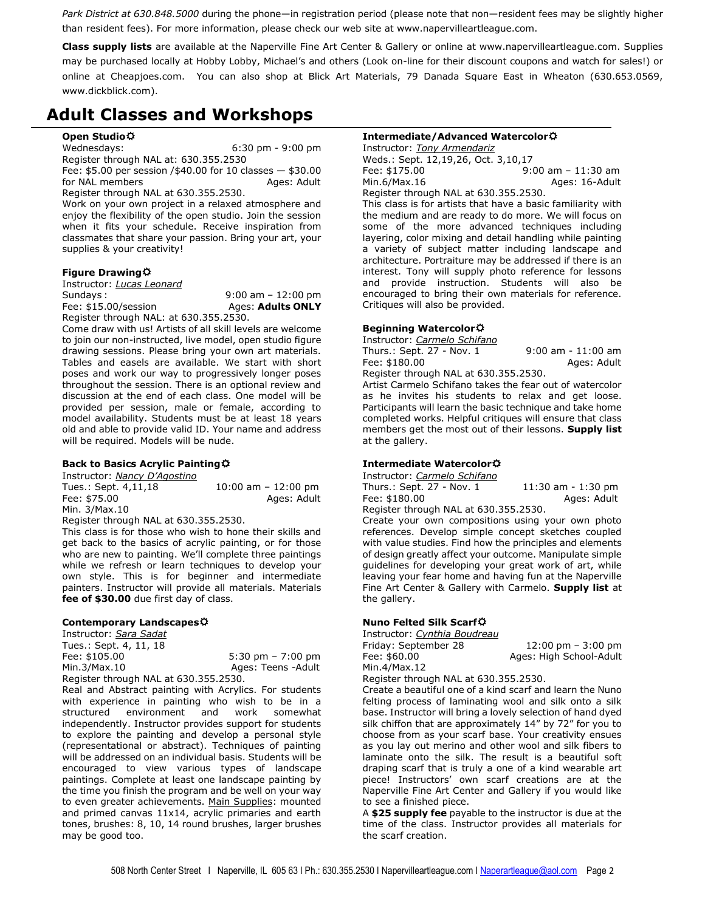*Park District at 630.848.5000* during the phone—in registration period (please note that non—resident fees may be slightly higher than resident fees). For more information, please check our web site a[t www.napervilleartleague.com.](http://www.napervilleartleague.com/)

**Class supply lists** are available at the Naperville Fine Art Center & Gallery or online at www.napervilleartleague.com. Supplies may be purchased locally at Hobby Lobby, Michael's and others (Look on-line for their discount coupons and watch for sales!) or online at Cheapjoes.com. You can also shop at Blick Art Materials, 79 Danada Square East in Wheaton (630.653.0569, [www.dickblick.com\)](http://www.dickblick.com/).

# **Adult Classes and Workshops**

# **Open Studio**

Wednesdays: 6:30 pm - 9:00 pm Register through NAL at: 630.355.2530

Fee: \$5.00 per session /\$40.00 for 10 classes — \$30.00 for NAL members Ages: Adult Register through NAL at 630.355.2530.

Work on your own project in a relaxed atmosphere and enjoy the flexibility of the open studio. Join the session when it fits your schedule. Receive inspiration from classmates that share your passion. Bring your art, your supplies & your creativity!

## **Figure Drawing**

Instructor: *Lucas Leonard*

 $9:00$  am – 12:00 pm Fee: \$15.00/session Ages: Adults ONLY

Register through NAL: at 630.355.2530. Come draw with us! Artists of all skill levels are welcome to join our non-instructed, live model, open studio figure drawing sessions. Please bring your own art materials. Tables and easels are available. We start with short poses and work our way to progressively longer poses throughout the session. There is an optional review and discussion at the end of each class. One model will be provided per session, male or female, according to model availability. Students must be at least 18 years old and able to provide valid ID. Your name and address will be required. Models will be nude.

#### **Back to Basics Acrylic Painting**

Instructor: *Nancy D'Agostino* Tues.: Sept. 4,11,18 10:00 am – 12:00 pm Fee: \$75.00 Ages: Adult Min. 3/Max.10

Register through NAL at 630.355.2530.

This class is for those who wish to hone their skills and get back to the basics of acrylic painting, or for those who are new to painting. We'll complete three paintings while we refresh or learn techniques to develop your own style. This is for beginner and intermediate painters. Instructor will provide all materials. Materials **fee of \$30.00** due first day of class.

#### **Contemporary Landscapes**

Instructor: *Sara Sadat* Tues.: Sept. 4, 11, 18 Fee: \$105.00 5:30 pm – 7:00 pm Min.3/Max.10 Ages: Teens -Adult Register through NAL at 630.355.2530.

Real and Abstract painting with Acrylics. For students with experience in painting who wish to be in a structured environment and work somewhat independently. Instructor provides support for students to explore the painting and develop a personal style (representational or abstract). Techniques of painting will be addressed on an individual basis. Students will be encouraged to view various types of landscape paintings. Complete at least one landscape painting by the time you finish the program and be well on your way to even greater achievements. Main Supplies: mounted and primed canvas 11x14, acrylic primaries and earth tones, brushes: 8, 10, 14 round brushes, larger brushes may be good too.

# **Intermediate/Advanced Watercolor**

Instructor: *Tony Armendariz* Weds.: Sept. 12,19,26, Oct. 3,10,17 Fee: \$175.00 9:00 am – 11:30 am Min.6/Max.16 Ages: 16-Adult Register through NAL at 630.355.2530.

This class is for artists that have a basic familiarity with the medium and are ready to do more. We will focus on some of the more advanced techniques including layering, color mixing and detail handling while painting a variety of subject matter including landscape and architecture. Portraiture may be addressed if there is an interest. Tony will supply photo reference for lessons and provide instruction. Students will also be encouraged to bring their own materials for reference. Critiques will also be provided.

## **Beginning Watercolor**

Instructor: *Carmelo Schifano* Thurs.: Sept. 27 - Nov. 1 9:00 am - 11:00 am Fee: \$180.00 Ages: Adult Register through NAL at 630.355.2530.

Artist Carmelo Schifano takes the fear out of watercolor as he invites his students to relax and get loose. Participants will learn the basic technique and take home completed works. Helpful critiques will ensure that class members get the most out of their lessons. **Supply list** at the gallery.

#### **Intermediate Watercolor**

Instructor: *Carmelo Schifano* Thurs.: Sept. 27 - Nov. 1 11:30 am - 1:30 pm Fee: \$180.00 Ages: Adult

Register through NAL at 630.355.2530. Create your own compositions using your own photo references. Develop simple concept sketches coupled with value studies. Find how the principles and elements of design greatly affect your outcome. Manipulate simple guidelines for developing your great work of art, while leaving your fear home and having fun at the Naperville Fine Art Center & Gallery with Carmelo. **Supply list** at the gallery.

# **Nuno Felted Silk Scarf**

Instructor: *Cynthia Boudreau* Friday: September 28 12:00 pm – 3:00 pm Fee: \$60.00 Ages: High School-Adult Min.4/Max.12

Register through NAL at 630.355.2530.

Create a beautiful one of a kind scarf and learn the Nuno felting process of laminating wool and silk onto a silk base. Instructor will bring a lovely selection of hand dyed silk chiffon that are approximately 14" by 72" for you to choose from as your scarf base. Your creativity ensues as you lay out merino and other wool and silk fibers to laminate onto the silk. The result is a beautiful soft draping scarf that is truly a one of a kind wearable art piece! Instructors' own scarf creations are at the Naperville Fine Art Center and Gallery if you would like to see a finished piece.

A **\$25 supply fee** payable to the instructor is due at the time of the class. Instructor provides all materials for the scarf creation.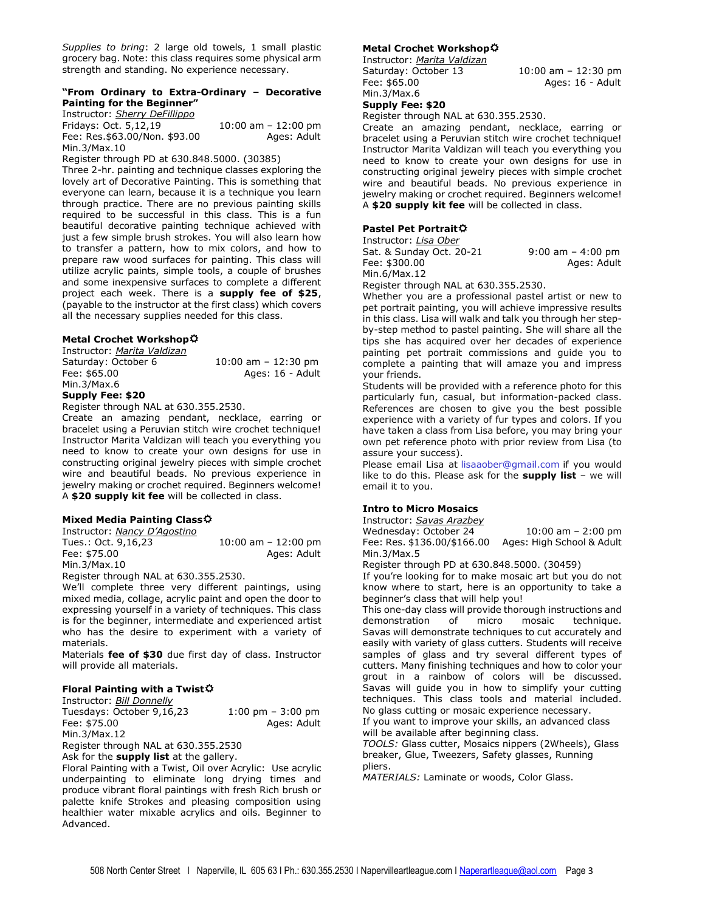*Supplies to bring*: 2 large old towels, 1 small plastic grocery bag. Note: this class requires some physical arm strength and standing. No experience necessary.

# **"From Ordinary to Extra-Ordinary – Decorative Painting for the Beginner"**

Instructor: *Sherry DeFillippo*

Fridays: Oct. 5,12,19 10:00 am - 12:00 pm Fee: Res.\$63.00/Non. \$93.00 Ages: Adult Min.3/Max.10

Register through PD at 630.848.5000. (30385)

Three 2-hr. painting and technique classes exploring the lovely art of Decorative Painting. This is something that everyone can learn, because it is a technique you learn through practice. There are no previous painting skills required to be successful in this class. This is a fun beautiful decorative painting technique achieved with just a few simple brush strokes. You will also learn how to transfer a pattern, how to mix colors, and how to prepare raw wood surfaces for painting. This class will utilize acrylic paints, simple tools, a couple of brushes and some inexpensive surfaces to complete a different project each week. There is a **supply fee of \$25**, (payable to the instructor at the first class) which covers all the necessary supplies needed for this class.

## **Metal Crochet Workshop**

| Supply Fee: \$20            |                        |
|-----------------------------|------------------------|
| Min. $3/Max.6$              |                        |
| Fee: \$65.00                | Ages: 16 - Adult       |
| Saturday: October 6         | $10:00$ am $-12:30$ pm |
| Instructor: Marita Valdizan |                        |

Register through NAL at 630.355.2530.

Create an amazing pendant, necklace, earring or bracelet using a Peruvian stitch wire crochet technique! Instructor Marita Valdizan will teach you everything you need to know to create your own designs for use in constructing original jewelry pieces with simple crochet wire and beautiful beads. No previous experience in jewelry making or crochet required. Beginners welcome! A **\$20 supply kit fee** will be collected in class.

#### **Mixed Media Painting Class**

Instructor: *Nancy D'Agostino* Tues.: Oct. 9,16,23 10:00 am – 12:00 pm Fee: \$75.00 Ages: Adult Min.3/Max.10

Register through NAL at 630.355.2530.

We'll complete three very different paintings, using mixed media, collage, acrylic paint and open the door to expressing yourself in a variety of techniques. This class is for the beginner, intermediate and experienced artist who has the desire to experiment with a variety of materials.

Materials **fee of \$30** due first day of class. Instructor will provide all materials.

# **Floral Painting with a Twist**

Instructor: *Bill Donnelly* Tuesdays: October 9,16,23 1:00 pm – 3:00 pm Fee: \$75.00 Ages: Adult Min.3/Max.12

Register through NAL at 630.355.2530

Ask for the **supply list** at the gallery.

Floral Painting with a Twist, Oil over Acrylic: Use acrylic underpainting to eliminate long drying times and produce vibrant floral paintings with fresh Rich brush or palette knife Strokes and pleasing composition using healthier water mixable acrylics and oils. Beginner to Advanced.

# **Metal Crochet Workshop**

Instructor: *Marita Valdizan*

Saturday: October 13 10:00 am – 12:30 pm Fee: \$65.00 Ages: 16 - Adult Min.3/Max.6

**Supply Fee: \$20**

Register through NAL at 630.355.2530.

Create an amazing pendant, necklace, earring or bracelet using a Peruvian stitch wire crochet technique! Instructor Marita Valdizan will teach you everything you need to know to create your own designs for use in constructing original jewelry pieces with simple crochet wire and beautiful beads. No previous experience in jewelry making or crochet required. Beginners welcome! A **\$20 supply kit fee** will be collected in class.

# **Pastel Pet Portrait**

Instructor: *Lisa Ober* Sat. & Sunday Oct. 20-21 9:00 am – 4:00 pm Fee: \$300.00 Ages: Adult Min.6/Max.12

Register through NAL at 630.355.2530.

Whether you are a professional pastel artist or new to pet portrait painting, you will achieve impressive results in this class. Lisa will walk and talk you through her stepby-step method to pastel painting. She will share all the tips she has acquired over her decades of experience painting pet portrait commissions and guide you to complete a painting that will amaze you and impress your friends.

Students will be provided with a reference photo for this particularly fun, casual, but information-packed class. References are chosen to give you the best possible experience with a variety of fur types and colors. If you have taken a class from Lisa before, you may bring your own pet reference photo with prior review from Lisa (to assure your success).

Please email Lisa at [lisaaober@gmail.com](mailto:lisaaober@gmail.com) if you would like to do this. Please ask for the **supply list** – we will email it to you.

#### **Intro to Micro Mosaics**

Instructor: *Savas Arazbey*

Wednesday: October 24 10:00 am – 2:00 pm Fee: Res. \$136.00/\$166.00 Ages: High School & Adult Min.3/Max.5

Register through PD at 630.848.5000. (30459)

If you're looking for to make mosaic art but you do not know where to start, here is an opportunity to take a beginner's class that will help you!

This one-day class will provide thorough instructions and demonstration of micro mosaic technique. Savas will demonstrate techniques to cut accurately and easily with variety of glass cutters. Students will receive samples of glass and try several different types of cutters. Many finishing techniques and how to color your grout in a rainbow of colors will be discussed. Savas will guide you in how to simplify your cutting techniques. This class tools and material included. No glass cutting or mosaic experience necessary. If you want to improve your skills, an advanced class

will be available after beginning class.

*TOOLS:* Glass cutter, Mosaics nippers (2Wheels), Glass breaker, Glue, Tweezers, Safety glasses, Running pliers.

*MATERIALS:* Laminate or woods, Color Glass.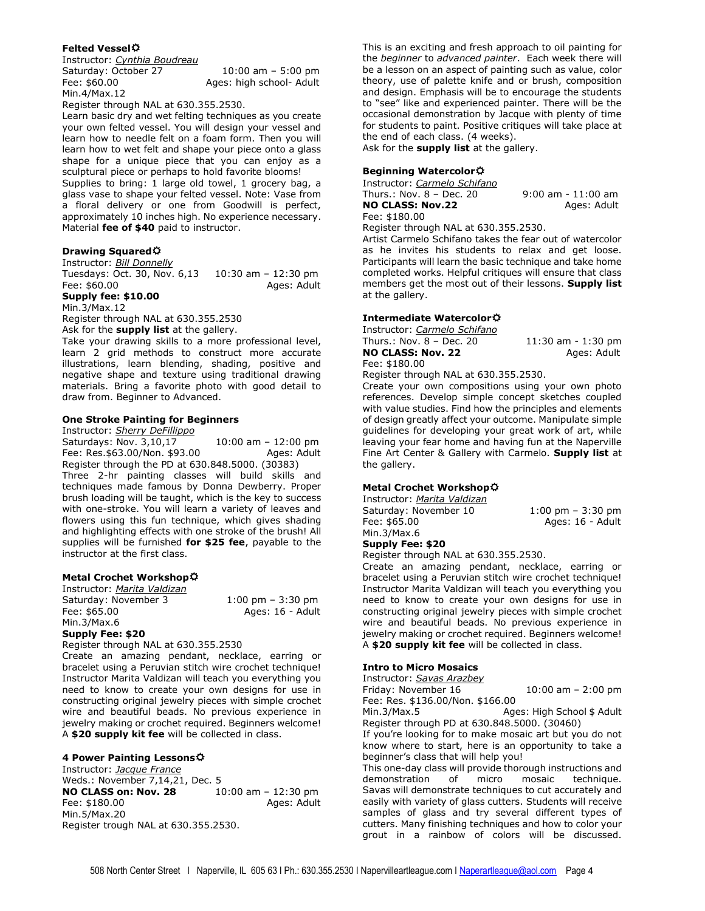## **Felted Vessel**

Instructor: *Cynthia Boudreau*

| Saturday: October 27 | $10:00$ am $-5:00$ pm    |
|----------------------|--------------------------|
| Fee: \$60.00         | Ages: high school- Adult |
| Min.4/Max.12         |                          |

Register through NAL at 630.355.2530.

Learn basic dry and wet felting techniques as you create your own felted vessel. You will design your vessel and learn how to needle felt on a foam form. Then you will learn how to wet felt and shape your piece onto a glass shape for a unique piece that you can enjoy as a sculptural piece or perhaps to hold favorite blooms! Supplies to bring: 1 large old towel, 1 grocery bag, a glass vase to shape your felted vessel. Note: Vase from a floral delivery or one from Goodwill is perfect, approximately 10 inches high. No experience necessary. Material **fee of \$40** paid to instructor.

#### **Drawing Squared**

Instructor: *Bill Donnelly* Tuesdays: Oct. 30, Nov. 6,13 10:30 am – 12:30 pm Fee: \$60.00 Ages: Adult

#### **Supply fee: \$10.00**

Min.3/Max.12

Register through NAL at 630.355.2530 Ask for the **supply list** at the gallery.

Take your drawing skills to a more professional level, learn 2 grid methods to construct more accurate illustrations, learn blending, shading, positive and negative shape and texture using traditional drawing materials. Bring a favorite photo with good detail to draw from. Beginner to Advanced.

#### **One Stroke Painting for Beginners**

Instructor: *Sherry DeFillippo*

Saturdays: Nov. 3,10,17 10:00 am – 12:00 pm Fee: Res. \$63.00/Non. \$93.00 Ages: Adult Register through the PD at 630.848.5000. (30383) Three 2-hr painting classes will build skills and techniques made famous by Donna Dewberry. Proper brush loading will be taught, which is the key to success with one-stroke. You will learn a variety of leaves and flowers using this fun technique, which gives shading and highlighting effects with one stroke of the brush! All supplies will be furnished **for \$25 fee**, payable to the instructor at the first class.

#### **Metal Crochet Workshop**

Instructor: *Marita Valdizan* Saturday: November 3 1:00 pm - 3:30 pm Fee: \$65.00 Ages: 16 - Adult Min.3/Max.6

# **Supply Fee: \$20**

Register through NAL at 630.355.2530

Create an amazing pendant, necklace, earring or bracelet using a Peruvian stitch wire crochet technique! Instructor Marita Valdizan will teach you everything you need to know to create your own designs for use in constructing original jewelry pieces with simple crochet wire and beautiful beads. No previous experience in jewelry making or crochet required. Beginners welcome! A **\$20 supply kit fee** will be collected in class.

#### **4 Power Painting Lessons**

Instructor: *Jacque France* Weds.: November 7,14,21, Dec. 5 **NO CLASS on: Nov. 28** 10:00 am – 12:30 pm Fee: \$180.00 Ages: Adult Min.5/Max.20 Register trough NAL at 630.355.2530.

This is an exciting and fresh approach to oil painting for the *beginner* to *advanced painter*. Each week there will be a lesson on an aspect of painting such as value, color theory, use of palette knife and or brush, composition and design. Emphasis will be to encourage the students to "see" like and experienced painter. There will be the occasional demonstration by Jacque with plenty of time for students to paint. Positive critiques will take place at the end of each class. (4 weeks).

Ask for the **supply list** at the gallery.

#### **Beginning Watercolor**

Instructor: *Carmelo Schifano* Thurs.: Nov.  $8 - Dec. 20$  9:00 am - 11:00 am **NO CLASS: Nov.22** Ages: Adult Fee: \$180.00

Register through NAL at 630.355.2530.

Artist Carmelo Schifano takes the fear out of watercolor as he invites his students to relax and get loose. Participants will learn the basic technique and take home completed works. Helpful critiques will ensure that class members get the most out of their lessons. **Supply list** at the gallery.

#### **Intermediate Watercolor**

Instructor: *Carmelo Schifano* Thurs.: Nov. 8 - Dec. 20 11:30 am - 1:30 pm **NO CLASS: Nov. 22** Ages: Adult Fee: \$180.00

Register through NAL at 630.355.2530.

Create your own compositions using your own photo references. Develop simple concept sketches coupled with value studies. Find how the principles and elements of design greatly affect your outcome. Manipulate simple guidelines for developing your great work of art, while leaving your fear home and having fun at the Naperville Fine Art Center & Gallery with Carmelo. **Supply list** at the gallery.

#### **Metal Crochet Workshop**

Instructor: *Marita Valdizan* Saturday: November 10 1:00 pm - 3:30 pm Fee: \$65.00 Ages: 16 - Adult Min.3/Max.6

## **Supply Fee: \$20**

Register through NAL at 630.355.2530.

Create an amazing pendant, necklace, earring or bracelet using a Peruvian stitch wire crochet technique! Instructor Marita Valdizan will teach you everything you need to know to create your own designs for use in constructing original jewelry pieces with simple crochet wire and beautiful beads. No previous experience in jewelry making or crochet required. Beginners welcome! A **\$20 supply kit fee** will be collected in class.

#### **Intro to Micro Mosaics**

Instructor: *Savas Arazbey* Friday: November 16 10:00 am – 2:00 pm Fee: Res. \$136.00/Non. \$166.00

Min.3/Max.5 Ages: High School \$ Adult Register through PD at 630.848.5000. (30460)

If you're looking for to make mosaic art but you do not know where to start, here is an opportunity to take a beginner's class that will help you!

This one-day class will provide thorough instructions and demonstration of micro mosaic technique. Savas will demonstrate techniques to cut accurately and easily with variety of glass cutters. Students will receive samples of glass and try several different types of cutters. Many finishing techniques and how to color your grout in a rainbow of colors will be discussed.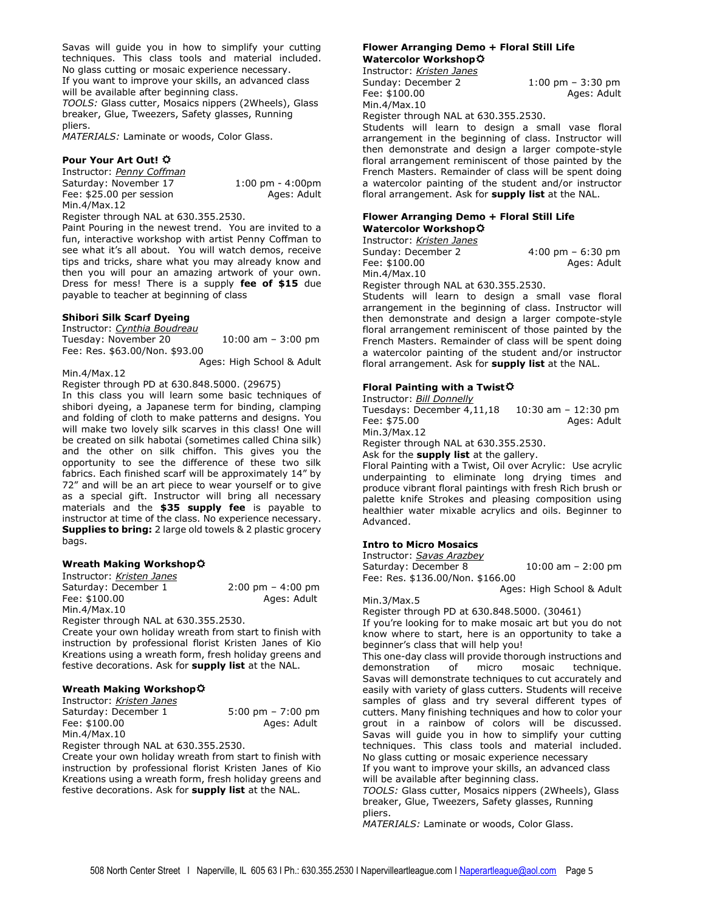Savas will guide you in how to simplify your cutting techniques. This class tools and material included. No glass cutting or mosaic experience necessary. If you want to improve your skills, an advanced class will be available after beginning class.

*TOOLS:* Glass cutter, Mosaics nippers (2Wheels), Glass breaker, Glue, Tweezers, Safety glasses, Running pliers.

*MATERIALS:* Laminate or woods, Color Glass.

#### **Pour Your Art Out!**

Instructor: *Penny Coffman* Saturday: November 17 1:00 pm - 4:00pm Fee: \$25.00 per session Ages: Adult Min.4/Max.12

Register through NAL at 630.355.2530.

Paint Pouring in the newest trend. You are invited to a fun, interactive workshop with artist Penny Coffman to see what it's all about. You will watch demos, receive tips and tricks, share what you may already know and then you will pour an amazing artwork of your own. Dress for mess! There is a supply **fee of \$15** due payable to teacher at beginning of class

#### **Shibori Silk Scarf Dyeing**

Instructor: *Cynthia Boudreau* Tuesday: November 20 10:00 am - 3:00 pm Fee: Res. \$63.00/Non. \$93.00

Ages: High School & Adult

Min.4/Max.12 Register through PD at 630.848.5000. (29675)

In this class you will learn some basic techniques of shibori dyeing, a Japanese term for binding, clamping and folding of cloth to make patterns and designs. You will make two lovely silk scarves in this class! One will be created on silk habotai (sometimes called China silk) and the other on silk chiffon. This gives you the opportunity to see the difference of these two silk fabrics. Each finished scarf will be approximately 14" by 72" and will be an art piece to wear yourself or to give as a special gift. Instructor will bring all necessary materials and the **\$35 supply fee** is payable to instructor at time of the class. No experience necessary. **Supplies to bring:** 2 large old towels & 2 plastic grocery bags.

#### **Wreath Making Workshop**

Instructor: *Kristen Janes* Saturday: December 1 2:00 pm - 4:00 pm Fee: \$100.00 Ages: Adult Min.4/Max.10 Register through NAL at 630.355.2530.

Create your own holiday wreath from start to finish with instruction by professional florist Kristen Janes of Kio Kreations using a wreath form, fresh holiday greens and festive decorations. Ask for **supply list** at the NAL.

#### **Wreath Making Workshop**

Instructor: *Kristen Janes* Saturday: December 1 5:00 pm - 7:00 pm Fee: \$100.00 Ages: Adult Min.4/Max.10

Register through NAL at 630.355.2530.

Create your own holiday wreath from start to finish with instruction by professional florist Kristen Janes of Kio Kreations using a wreath form, fresh holiday greens and festive decorations. Ask for **supply list** at the NAL.

# **Flower Arranging Demo + Floral Still Life Watercolor Workshop**

Instructor: *Kristen Janes* Sunday: December 2 1:00 pm – 3:30 pm Fee: \$100.00 Ages: Adult Min.4/Max.10 Register through NAL at 630.355.2530.

Students will learn to design a small vase floral arrangement in the beginning of class. Instructor will then demonstrate and design a larger compote-style floral arrangement reminiscent of those painted by the French Masters. Remainder of class will be spent doing a watercolor painting of the student and/or instructor floral arrangement. Ask for **supply list** at the NAL.

# **Flower Arranging Demo + Floral Still Life Watercolor Workshop**

| Instructor: <i>Kristen Janes</i> |                                     |
|----------------------------------|-------------------------------------|
| Sunday: December 2               | $4:00 \text{ pm} - 6:30 \text{ pm}$ |
| Fee: \$100.00                    | Ages: Adult                         |
| Min.4/Max.10                     |                                     |
|                                  |                                     |

Register through NAL at 630.355.2530.

Students will learn to design a small vase floral arrangement in the beginning of class. Instructor will then demonstrate and design a larger compote-style floral arrangement reminiscent of those painted by the French Masters. Remainder of class will be spent doing a watercolor painting of the student and/or instructor floral arrangement. Ask for **supply list** at the NAL.

#### **Floral Painting with a Twist**

Instructor: *Bill Donnelly*

Tuesdays: December 4,11,18 10:30 am – 12:30 pm Fee: \$75.00 Ages: Adult Min.3/Max.12 Register through NAL at 630.355.2530. Ask for the **supply list** at the gallery.

Floral Painting with a Twist, Oil over Acrylic: Use acrylic underpainting to eliminate long drying times and produce vibrant floral paintings with fresh Rich brush or palette knife Strokes and pleasing composition using healthier water mixable acrylics and oils. Beginner to Advanced.

## **Intro to Micro Mosaics**

Instructor: *Savas Arazbey*

Saturday: December 8 10:00 am - 2:00 pm Fee: Res. \$136.00/Non. \$166.00

Ages: High School & Adult

Min.3/Max.5

Register through PD at 630.848.5000. (30461) If you're looking for to make mosaic art but you do not know where to start, here is an opportunity to take a

beginner's class that will help you! This one-day class will provide thorough instructions and demonstration of micro mosaic technique. Savas will demonstrate techniques to cut accurately and easily with variety of glass cutters. Students will receive samples of glass and try several different types of cutters. Many finishing techniques and how to color your grout in a rainbow of colors will be discussed. Savas will guide you in how to simplify your cutting techniques. This class tools and material included. No glass cutting or mosaic experience necessary

If you want to improve your skills, an advanced class will be available after beginning class. *TOOLS:* Glass cutter, Mosaics nippers (2Wheels), Glass

breaker, Glue, Tweezers, Safety glasses, Running pliers.

*MATERIALS:* Laminate or woods, Color Glass.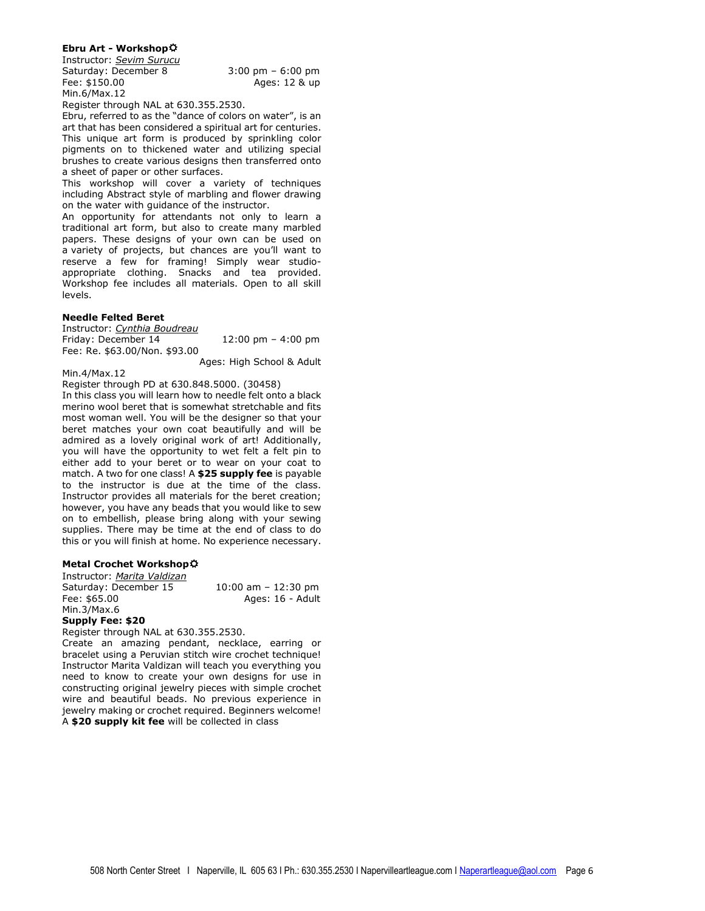#### **Ebru Art - Workshop**

Instructor: *Sevim Surucu* Saturday: December 8 3:00 pm – 6:00 pm Fee: \$150.00 Ages: 12 & up Min.6/Max.12

Register through NAL at 630.355.2530.

Ebru, referred to as the "dance of colors on water", is an art that has been considered a spiritual art for centuries. This unique art form is produced by sprinkling color pigments on to thickened water and utilizing special brushes to create various designs then transferred onto a sheet of paper or other surfaces.

This workshop will cover a variety of techniques including Abstract style of marbling and flower drawing on the water with guidance of the instructor.

An opportunity for attendants not only to learn a traditional art form, but also to create many marbled papers. These designs of your own can be used on a variety of projects, but chances are you'll want to reserve a few for framing! Simply wear studioappropriate clothing. Snacks and tea provided. Workshop fee includes all materials. Open to all skill levels.

#### **Needle Felted Beret**

Instructor: *Cynthia Boudreau* Friday: December 14 12:00 pm – 4:00 pm Fee: Re. \$63.00/Non. \$93.00

Ages: High School & Adult

#### Min.4/Max.12

Register through PD at 630.848.5000. (30458) In this class you will learn how to needle felt onto a black merino wool beret that is somewhat stretchable and fits most woman well. You will be the designer so that your beret matches your own coat beautifully and will be admired as a lovely original work of art! Additionally, you will have the opportunity to wet felt a felt pin to either add to your beret or to wear on your coat to match. A two for one class! A **\$25 supply fee** is payable to the instructor is due at the time of the class. Instructor provides all materials for the beret creation; however, you have any beads that you would like to sew on to embellish, please bring along with your sewing

#### **Metal Crochet Workshop**

Instructor: *Marita Valdizan* Saturday: December 15 10:00 am – 12:30 pm Fee: \$65.00 Ages: 16 - Adult Min.3/Max.6

supplies. There may be time at the end of class to do this or you will finish at home. No experience necessary.

# **Supply Fee: \$20**

Register through NAL at 630.355.2530.

Create an amazing pendant, necklace, earring or bracelet using a Peruvian stitch wire crochet technique! Instructor Marita Valdizan will teach you everything you need to know to create your own designs for use in constructing original jewelry pieces with simple crochet wire and beautiful beads. No previous experience in jewelry making or crochet required. Beginners welcome! A **\$20 supply kit fee** will be collected in class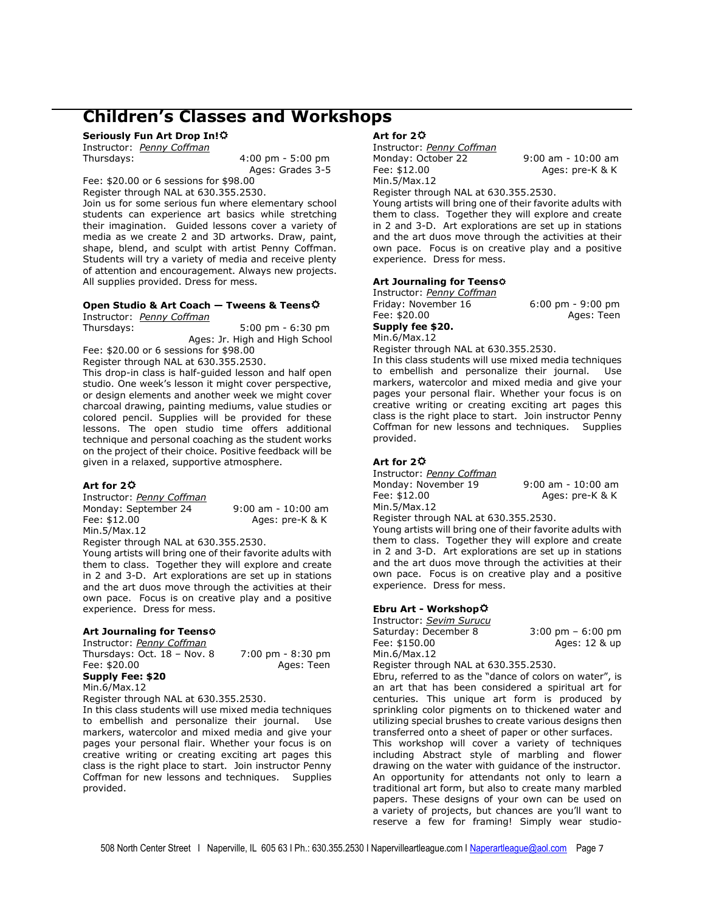# **Children's Classes and Workshops**

**Seriously Fun Art Drop In!** 

Instructor: *Penny Coffman*

Thursdays: 4:00 pm - 5:00 pm Ages: Grades 3-5

Fee: \$20.00 or 6 sessions for \$98.00 Register through NAL at 630.355.2530.

Join us for some serious fun where elementary school students can experience art basics while stretching their imagination. Guided lessons cover a variety of media as we create 2 and 3D artworks. Draw, paint, shape, blend, and sculpt with artist Penny Coffman. Students will try a variety of media and receive plenty of attention and encouragement. Always new projects. All supplies provided. Dress for mess.

# **Open Studio & Art Coach — Tweens & Teens**

Instructor: *Penny Coffman*

5:00 pm - 6:30 pm Ages: Jr. High and High School

Fee: \$20.00 or 6 sessions for \$98.00 Register through NAL at 630.355.2530.

This drop-in class is half-guided lesson and half open studio. One week's lesson it might cover perspective, or design elements and another week we might cover charcoal drawing, painting mediums, value studies or colored pencil. Supplies will be provided for these lessons. The open studio time offers additional technique and personal coaching as the student works on the project of their choice. Positive feedback will be given in a relaxed, supportive atmosphere.

# **Art for 2**

Instructor: *Penny Coffman* Monday: September 24 9:00 am - 10:00 am<br>Fee: \$12.00 Ages: pre-K & K Ages: pre-K & K Min.5/Max.12

Register through NAL at 630.355.2530.

Young artists will bring one of their favorite adults with them to class. Together they will explore and create in 2 and 3-D. Art explorations are set up in stations and the art duos move through the activities at their own pace. Focus is on creative play and a positive experience. Dress for mess.

# **Art Journaling for Teens**

Instructor: *Penny Coffman* Thursdays: Oct. 18 – Nov. 8 7:00 pm - 8:30 pm Fee: \$20.00 Ages: Teen

# **Supply Fee: \$20**

Min.6/Max.12 Register through NAL at 630.355.2530.

In this class students will use mixed media techniques to embellish and personalize their journal. Use markers, watercolor and mixed media and give your pages your personal flair. Whether your focus is on creative writing or creating exciting art pages this class is the right place to start. Join instructor Penny Coffman for new lessons and techniques. Supplies provided.

# **Art for 2**

Instructor: *Penny Coffman* Monday: October 22 9:00 am - 10:00 am Fee: \$12.00 Ages: pre-K & K Min.5/Max.12

Register through NAL at 630.355.2530.

Young artists will bring one of their favorite adults with them to class. Together they will explore and create in 2 and 3-D. Art explorations are set up in stations and the art duos move through the activities at their own pace. Focus is on creative play and a positive experience. Dress for mess.

## **Art Journaling for Teens**

Instructor: *Penny Coffman* Friday: November 16 6:00 pm - 9:00 pm Fee: \$20.00 Ages: Teen **Supply fee \$20.** Min.6/Max.12

Register through NAL at 630.355.2530.

In this class students will use mixed media techniques to embellish and personalize their journal. Use markers, watercolor and mixed media and give your pages your personal flair. Whether your focus is on creative writing or creating exciting art pages this class is the right place to start. Join instructor Penny Coffman for new lessons and techniques. Supplies provided.

# **Art for 2**

Instructor: *Penny Coffman* Monday: November 19 9:00 am - 10:00 am Fee: \$12.00 Ages: pre-K & K Min.5/Max.12

Register through NAL at 630.355.2530.

Young artists will bring one of their favorite adults with them to class. Together they will explore and create in 2 and 3-D. Art explorations are set up in stations and the art duos move through the activities at their own pace. Focus is on creative play and a positive experience. Dress for mess.

# **Ebru Art - Workshop**

Instructor: *Sevim Surucu* Saturday: December 8 3:00 pm – 6:00 pm Fee: \$150.00 Ages: 12 & up Min.6/Max.12

Register through NAL at 630.355.2530.

Ebru, referred to as the "dance of colors on water", is an art that has been considered a spiritual art for centuries. This unique art form is produced by sprinkling color pigments on to thickened water and utilizing special brushes to create various designs then transferred onto a sheet of paper or other surfaces.

This workshop will cover a variety of techniques including Abstract style of marbling and flower drawing on the water with guidance of the instructor. An opportunity for attendants not only to learn a traditional art form, but also to create many marbled papers. These designs of your own can be used on a variety of projects, but chances are you'll want to reserve a few for framing! Simply wear studio